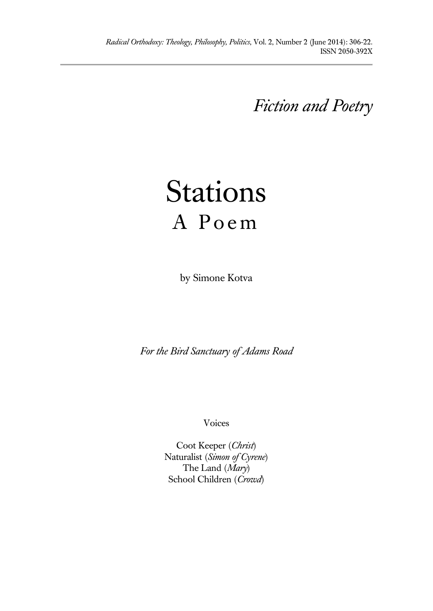*Fiction and Poetry*

# Stations A Poem

by Simone Kotva

*For the Bird Sanctuary of Adams Road*

Voices

Coot Keeper (*Christ*) Naturalist (*Simon of Cyrene*) The Land (*Mary*) School Children (*Crowd*)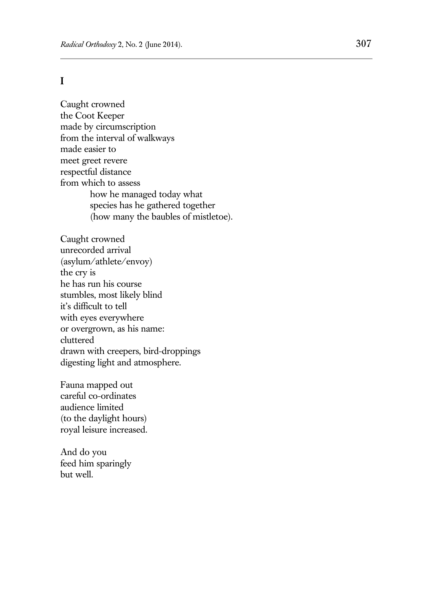## **I**

Caught crowned the Coot Keeper made by circumscription from the interval of walkways made easier to meet greet revere respectful distance from which to assess how he managed today what species has he gathered together (how many the baubles of mistletoe).

Caught crowned unrecorded arrival (asylum/athlete/envoy) the cry is he has run his course stumbles, most likely blind it's difficult to tell with eyes everywhere or overgrown, as his name: cluttered drawn with creepers, bird-droppings digesting light and atmosphere.

Fauna mapped out careful co-ordinates audience limited (to the daylight hours) royal leisure increased.

And do you feed him sparingly but well.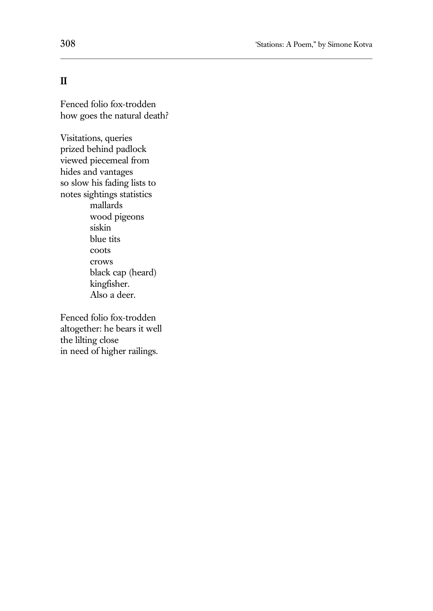# **II**

Fenced folio fox-trodden how goes the natural death?

Visitations, queries prized behind padlock viewed piecemeal from hides and vantages so slow his fading lists to notes sightings statistics mallards wood pigeons siskin blue tits coots crows black cap (heard) kingfisher. Also a deer.

Fenced folio fox-trodden altogether: he bears it well the lilting close in need of higher railings.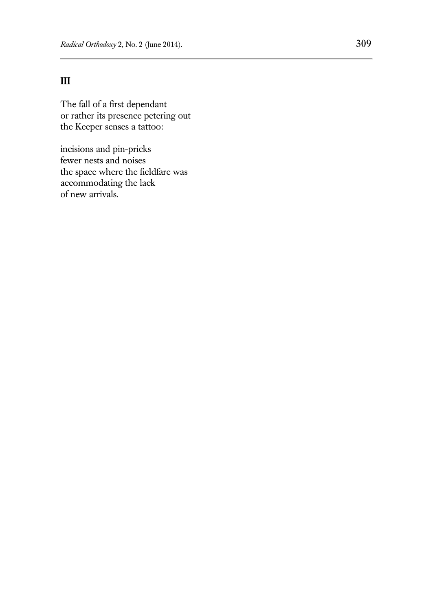# **III**

The fall of a first dependant or rather its presence petering out the Keeper senses a tattoo:

incisions and pin-pricks fewer nests and noises the space where the fieldfare was accommodating the lack of new arrivals.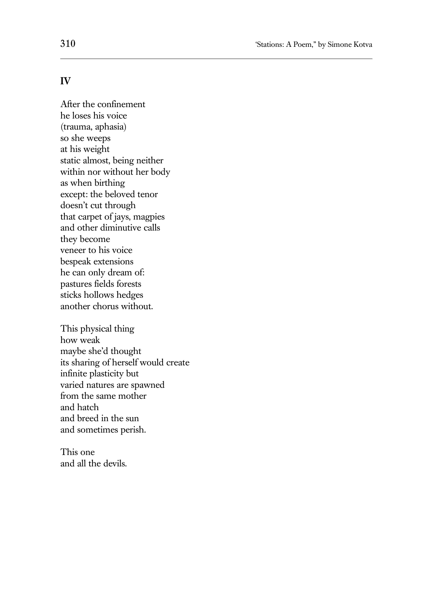### **IV**

After the confinement he loses his voice (trauma, aphasia) so she weeps at his weight static almost, being neither within nor without her body as when birthing except: the beloved tenor doesn't cut through that carpet of jays, magpies and other diminutive calls they become veneer to his voice bespeak extensions he can only dream of: pastures fields forests sticks hollows hedges another chorus without.

This physical thing how weak maybe she'd thought its sharing of herself would create infinite plasticity but varied natures are spawned from the same mother and hatch and breed in the sun and sometimes perish.

This one and all the devils.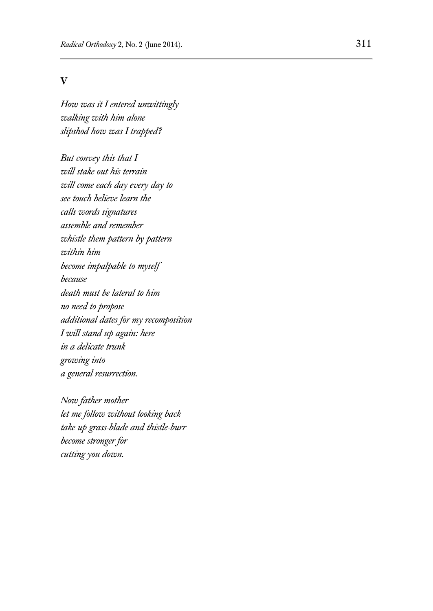#### **V**

*How was it I entered unwittingly walking with him alone slipshod how was I trapped?*

*But convey this that I will stake out his terrain will come each day every day to see touch believe learn the calls words signatures assemble and remember whistle them pattern by pattern within him become impalpable to myself because death must be lateral to him no need to propose additional dates for my recomposition I will stand up again: here in a delicate trunk growing into a general resurrection.* 

*Now father mother let me follow without looking back take up grass-blade and thistle-burr become stronger for cutting you down.*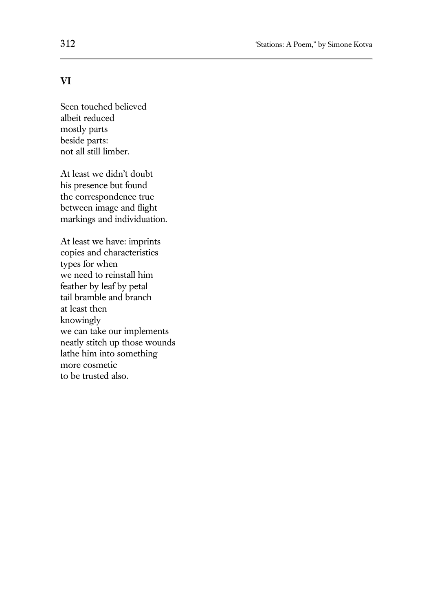# **VI**

Seen touched believed albeit reduced mostly parts beside parts: not all still limber.

At least we didn't doubt his presence but found the correspondence true between image and flight markings and individuation.

At least we have: imprints copies and characteristics types for when we need to reinstall him feather by leaf by petal tail bramble and branch at least then knowingly we can take our implements neatly stitch up those wounds lathe him into something more cosmetic to be trusted also.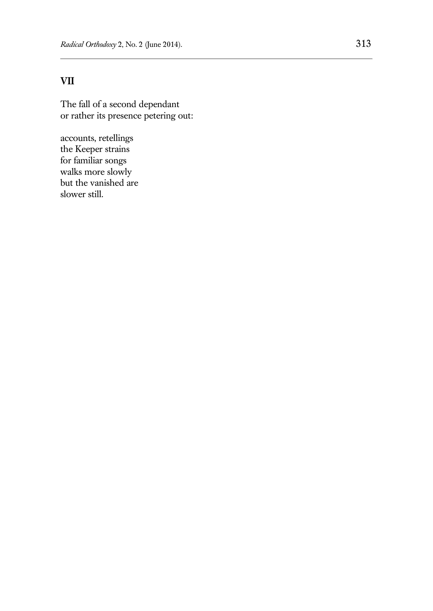# **VII**

The fall of a second dependant or rather its presence petering out:

accounts, retellings the Keeper strains for familiar songs walks more slowly but the vanished are slower still.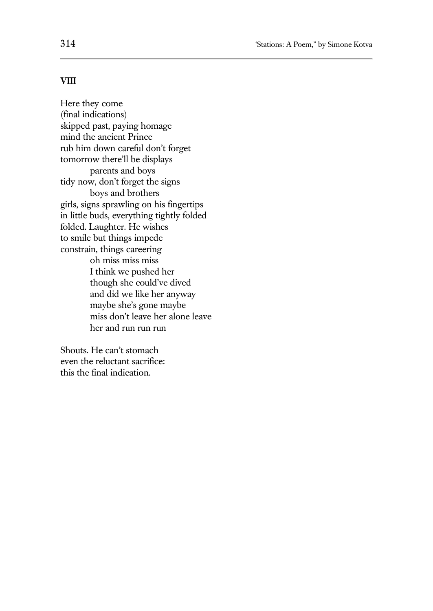#### **VIII**

Here they come (final indications) skipped past, paying homage mind the ancient Prince rub him down careful don't forget tomorrow there'll be displays parents and boys tidy now, don't forget the signs boys and brothers girls, signs sprawling on his fingertips in little buds, everything tightly folded folded. Laughter. He wishes to smile but things impede constrain, things careering oh miss miss miss I think we pushed her though she could've dived and did we like her anyway maybe she's gone maybe miss don't leave her alone leave her and run run run

Shouts. He can't stomach even the reluctant sacrifice: this the final indication.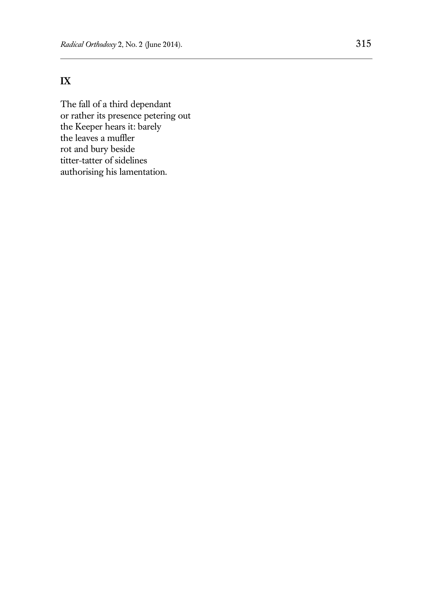# **IX**

The fall of a third dependant or rather its presence petering out the Keeper hears it: barely the leaves a muffler rot and bury beside titter-tatter of sidelines authorising his lamentation.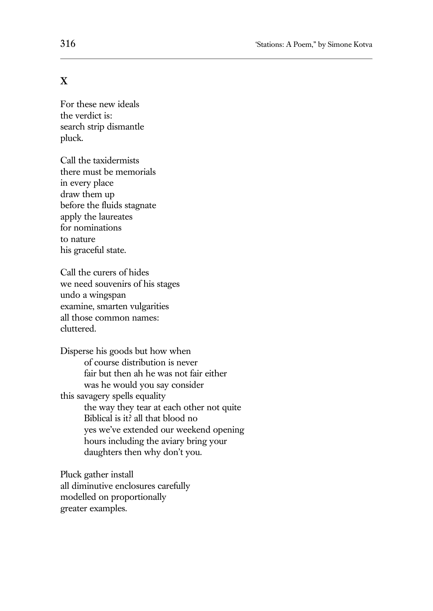# **X**

For these new ideals the verdict is: search strip dismantle pluck.

Call the taxidermists there must be memorials in every place draw them up before the fluids stagnate apply the laureates for nominations to nature his graceful state.

Call the curers of hides we need souvenirs of his stages undo a wingspan examine, smarten vulgarities all those common names: cluttered.

Disperse his goods but how when of course distribution is never fair but then ah he was not fair either was he would you say consider this savagery spells equality the way they tear at each other not quite Biblical is it? all that blood no yes we've extended our weekend opening hours including the aviary bring your daughters then why don't you.

Pluck gather install all diminutive enclosures carefully modelled on proportionally greater examples.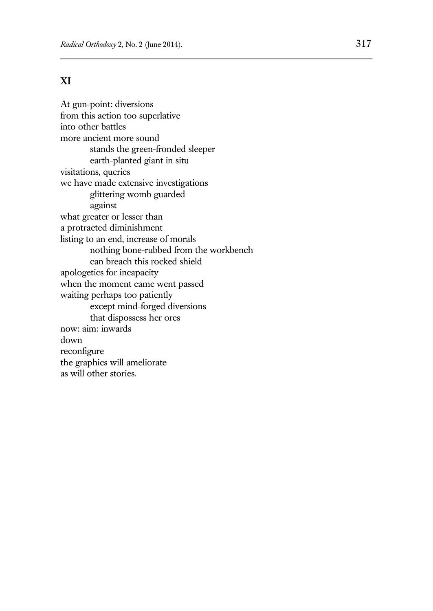# **XI**

At gun-point: diversions from this action too superlative into other battles more ancient more sound stands the green-fronded sleeper earth-planted giant in situ visitations, queries we have made extensive investigations glittering womb guarded against what greater or lesser than a protracted diminishment listing to an end, increase of morals nothing bone-rubbed from the workbench can breach this rocked shield apologetics for incapacity when the moment came went passed waiting perhaps too patiently except mind-forged diversions that dispossess her ores now: aim: inwards down reconfigure the graphics will ameliorate as will other stories.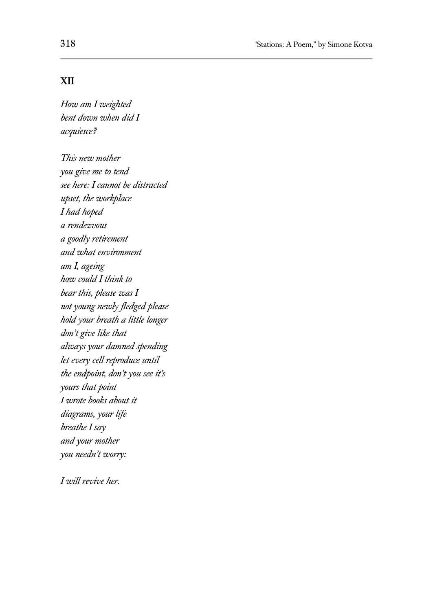## **XII**

*How am I weighted bent down when did I acquiesce?* 

*This new mother you give me to tend see here: I cannot be distracted upset, the workplace I had hoped a rendezvous a goodly retirement and what environment am I, ageing how could I think to bear this, please was I not young newly fledged please hold your breath a little longer don't give like that always your damned spending let every cell reproduce until the endpoint, don't you see it's yours that point I wrote books about it diagrams, your life breathe I say and your mother you needn't worry:*

*I will revive her.*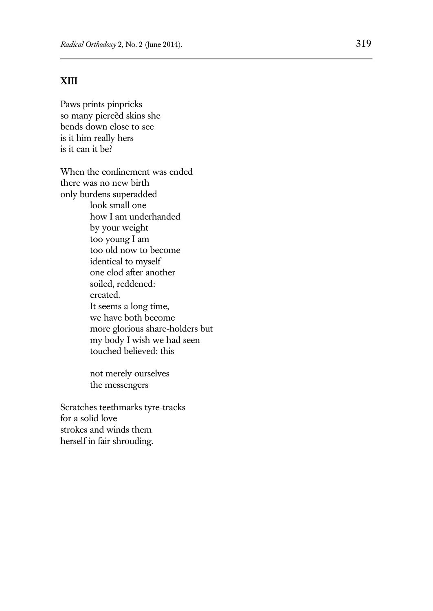## **XIII**

Paws prints pinpricks so many piercèd skins she bends down close to see is it him really hers is it can it be?

When the confinement was ended there was no new birth only burdens superadded look small one how I am underhanded by your weight too young I am too old now to become identical to myself one clod after another soiled, reddened: created. It seems a long time, we have both become more glorious share-holders but my body I wish we had seen touched believed: this

> not merely ourselves the messengers

Scratches teethmarks tyre-tracks for a solid love strokes and winds them herself in fair shrouding.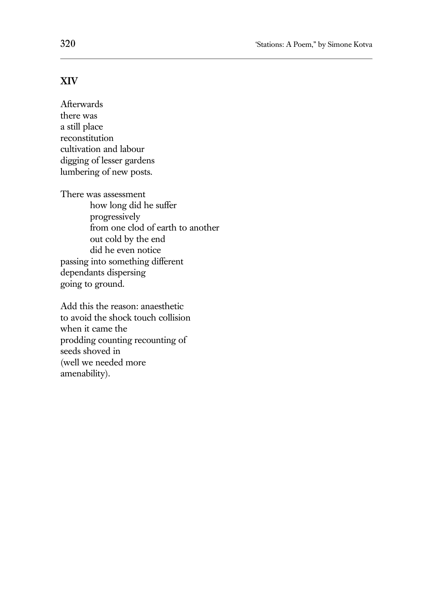## **XIV**

Afterwards there was a still place reconstitution cultivation and labour digging of lesser gardens lumbering of new posts.

There was assessment how long did he suffer progressively from one clod of earth to another out cold by the end did he even notice passing into something different dependants dispersing going to ground.

Add this the reason: anaesthetic to avoid the shock touch collision when it came the prodding counting recounting of seeds shoved in (well we needed more amenability).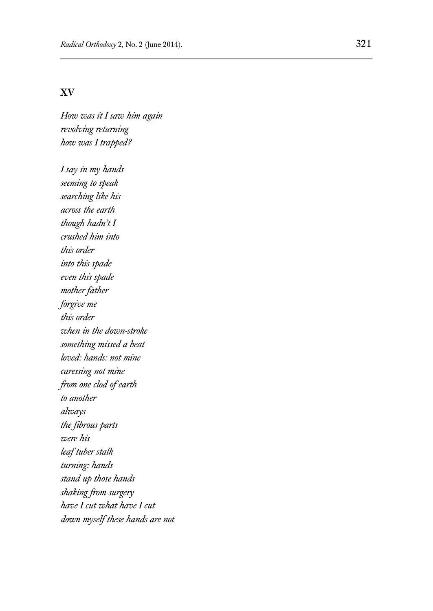#### **XV**

*How was it I saw him again revolving returning how was I trapped?* 

*I say in my hands seeming to speak searching like his across the earth though hadn't I crushed him into this order into this spade even this spade mother father forgive me this order when in the down-stroke something missed a beat loved: hands: not mine caressing not mine from one clod of earth to another always the fibrous parts were his leaf tuber stalk turning: hands stand up those hands shaking from surgery have I cut what have I cut down myself these hands are not*